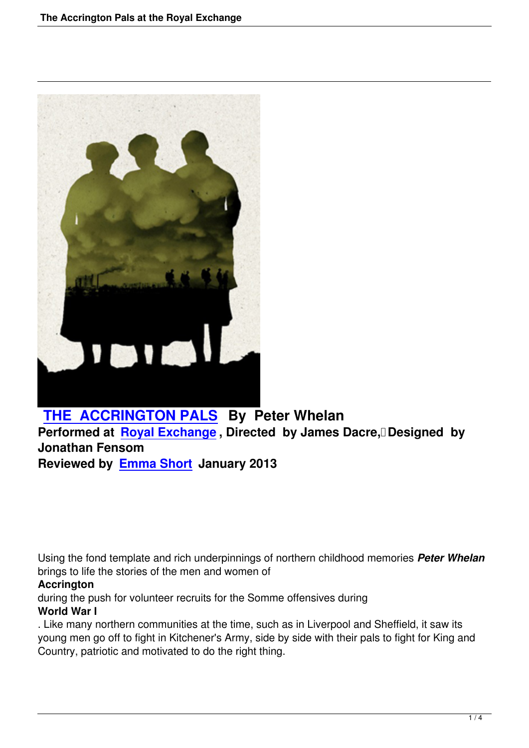

# **THE ACCRINGTON PALS By Peter Whelan**

**Performed at Royal Exchange, Directed by James Dacre, Designed by Jonathan Fensom [Reviewed by Emma Short Jan](the-accrington-pals-royal-exchange.html)uary 2013**

Using the fond template and rich underpinnings of northern childhood memories *Peter Whelan* brings to life the stories of the men and women of

### **Accrington**

during the push for volunteer recruits for the Somme offensives during **World War I**

. Like many northern communities at the time, such as in Liverpool and Sheffield, it saw its young men go off to fight in Kitchener's Army, side by side with their pals to fight for King and Country, patriotic and motivated to do the right thing.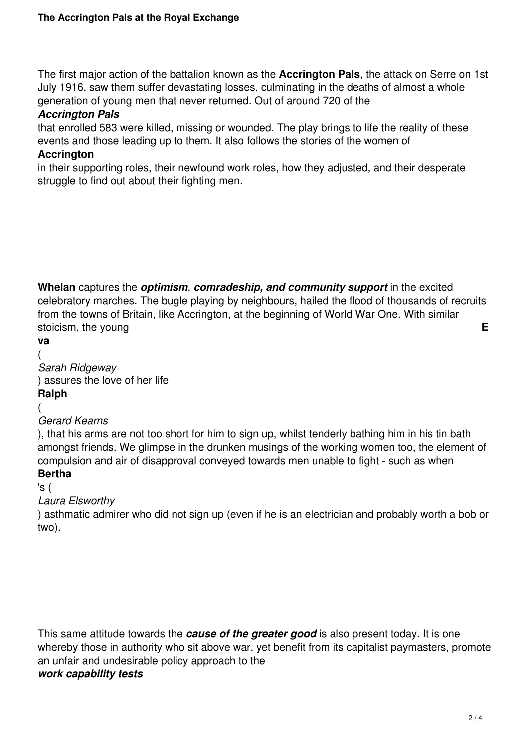The first major action of the battalion known as the **Accrington Pals**, the attack on Serre on 1st July 1916, saw them suffer devastating losses, culminating in the deaths of almost a whole generation of young men that never returned. Out of around 720 of the

#### *Accrington Pals*

that enrolled 583 were killed, missing or wounded. The play brings to life the reality of these events and those leading up to them. It also follows the stories of the women of

#### **Accrington**

in their supporting roles, their newfound work roles, how they adjusted, and their desperate struggle to find out about their fighting men.

**Whelan** captures the *optimism*, *comradeship, and community support* in the excited celebratory marches. The bugle playing by neighbours, hailed the flood of thousands of recruits from the towns of Britain, like Accrington, at the beginning of World War One. With similar stoicism, the young **E** 

**va** (

*Sarah Ridgeway* ) assures the love of her life **Ralph**

(

### *Gerard Kearns*

), that his arms are not too short for him to sign up, whilst tenderly bathing him in his tin bath amongst friends. We glimpse in the drunken musings of the working women too, the element of compulsion and air of disapproval conveyed towards men unable to fight - such as when **Bertha**

#### 's ( *Laura Elsworthy*

) asthmatic admirer who did not sign up (even if he is an electrician and probably worth a bob or two).

This same attitude towards the *cause of the greater good* is also present today. It is one whereby those in authority who sit above war, yet benefit from its capitalist paymasters, promote an unfair and undesirable policy approach to the *work capability tests*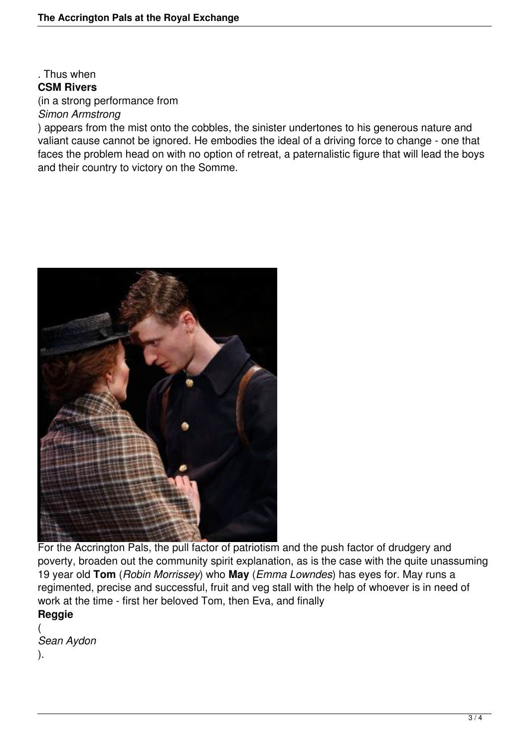#### . Thus when **CSM Rivers** (in a strong performance from *Simon Armstrong*

) appears from the mist onto the cobbles, the sinister undertones to his generous nature and valiant cause cannot be ignored. He embodies the ideal of a driving force to change - one that faces the problem head on with no option of retreat, a paternalistic figure that will lead the boys and their country to victory on the Somme.



For the Accrington Pals, the pull factor of patriotism and the push factor of drudgery and poverty, broaden out the community spirit explanation, as is the case with the quite unassuming 19 year old **Tom** (*Robin Morrissey*) who **May** (*Emma Lowndes*) has eyes for. May runs a regimented, precise and successful, fruit and veg stall with the help of whoever is in need of work at the time - first her beloved Tom, then Eva, and finally **Reggie**

( *Sean Aydon*

).